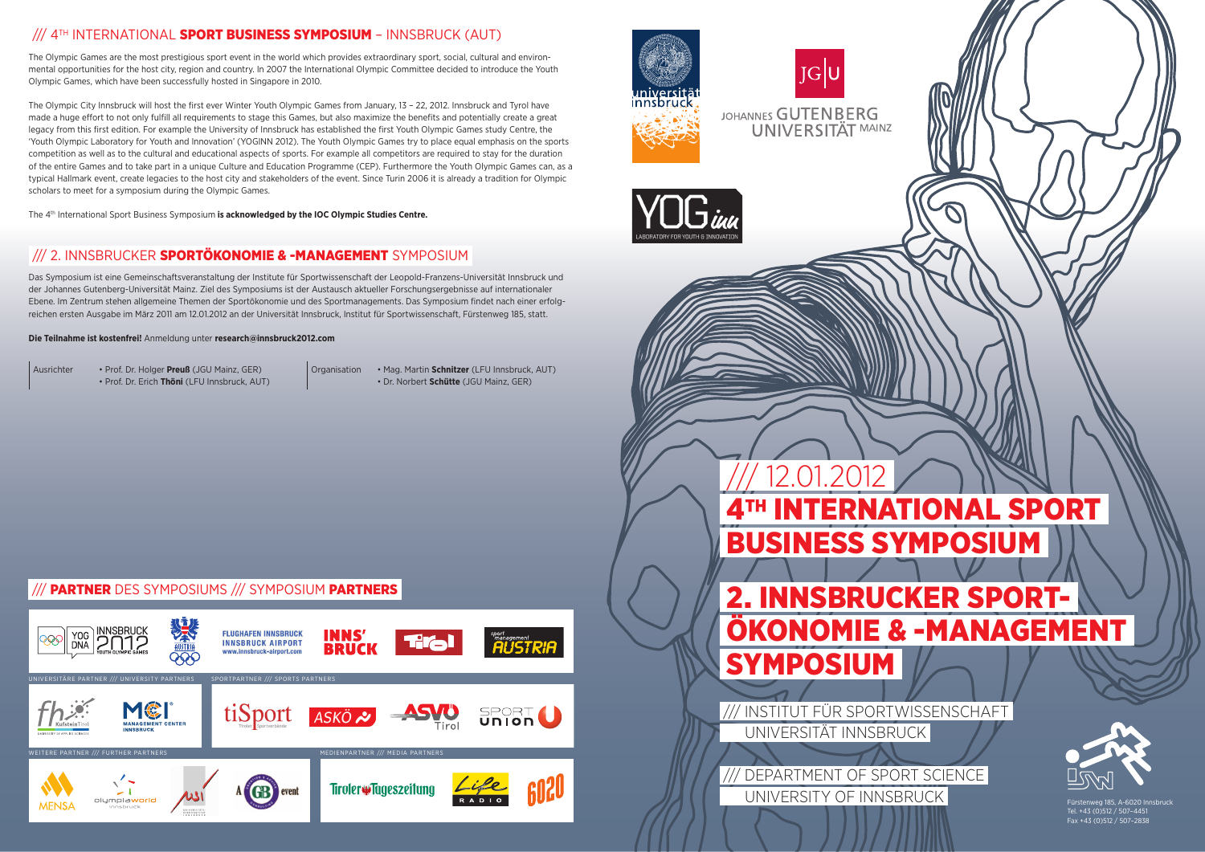# 4TH INTERNATIONAL SPORT BUSINESS SYMPOSIUM 2. INNSBRUCKER SPORT- ÖKONOMIE & -MANAGEMENT

SYMPOSIUM



 /// INSTITUT FÜR SPORTWISSENSCHAFT UNIVERSITÄT INNSBRUCK





Tel. +43 (0)512 / 507–4451 Fax +43 (0)512 / 507–2838

#### /// PARTNER DES SYMPOSIUMS /// SYMPOSIUM PARTNERS







12.01.201

### /// 4TH INTERNATIONAL SPORT BUSINESS SYMPOSIUM - INNSBRUCK (AUT)

The Olympic Games are the most prestigious sport event in the world which provides extraordinary sport, social, cultural and environmental opportunities for the host city, region and country. In 2007 the International Olympic Committee decided to introduce the Youth Olympic Games, which have been successfully hosted in Singapore in 2010.

The Olympic City Innsbruck will host the first ever Winter Youth Olympic Games from January, 13 - 22, 2012. Innsbruck and Tyrol have made a huge effort to not only fulfill all requirements to stage this Games, but also maximize the benefits and potentially create a great legacy from this first edition. For example the University of Innsbruck has established the first Youth Olympic Games study Centre, the 'Youth Olympic Laboratory for Youth and Innovation' (YOGINN 2012). The Youth Olympic Games try to place equal emphasis on the sports competition as well as to the cultural and educational aspects of sports. For example all competitors are required to stay for the duration of the entire Games and to take part in a unique Culture and Education Programme (CEP). Furthermore the Youth Olympic Games can, as a typical Hallmark event, create legacies to the host city and stakeholders of the event. Since Turin 2006 it is already a tradition for Olympic scholars to meet for a symposium during the Olympic Games.

The 4th International Sport Business Symposium **is acknowledged by the IOC Olympic Studies Centre.**

### /// 2. INNSBRUCKER SPORTÖKONOMIE & -MANAGEMENT SYMPOSIUM

Das Symposium ist eine Gemeinschaftsveranstaltung der Institute für Sportwissenschaft der Leopold-Franzens-Universität Innsbruck und der Johannes Gutenberg-Universität Mainz. Ziel des Symposiums ist der Austausch aktueller Forschungsergebnisse auf internationaler Ebene. Im Zentrum stehen allgemeine Themen der Sportökonomie und des Sportmanagements. Das Symposium findet nach einer erfolgreichen ersten Ausgabe im März 2011 am 12.01.2012 an der Universität Innsbruck, Institut für Sportwissenschaft, Fürstenweg 185, statt.

#### **Die Teilnahme ist kostenfrei!** Anmeldung unter **research@innsbruck2012.com**

Ausrichter • Prof. Dr. Holger **Preuß** (JGU Mainz, GER) • Prof. Dr. Erich **Thöni** (LFU Innsbruck, AUT)

Organisation • Mag. Martin **Schnitzer** (LFU Innsbruck, AUT) • Dr. Norbert **Schütte** (JGU Mainz, GER)